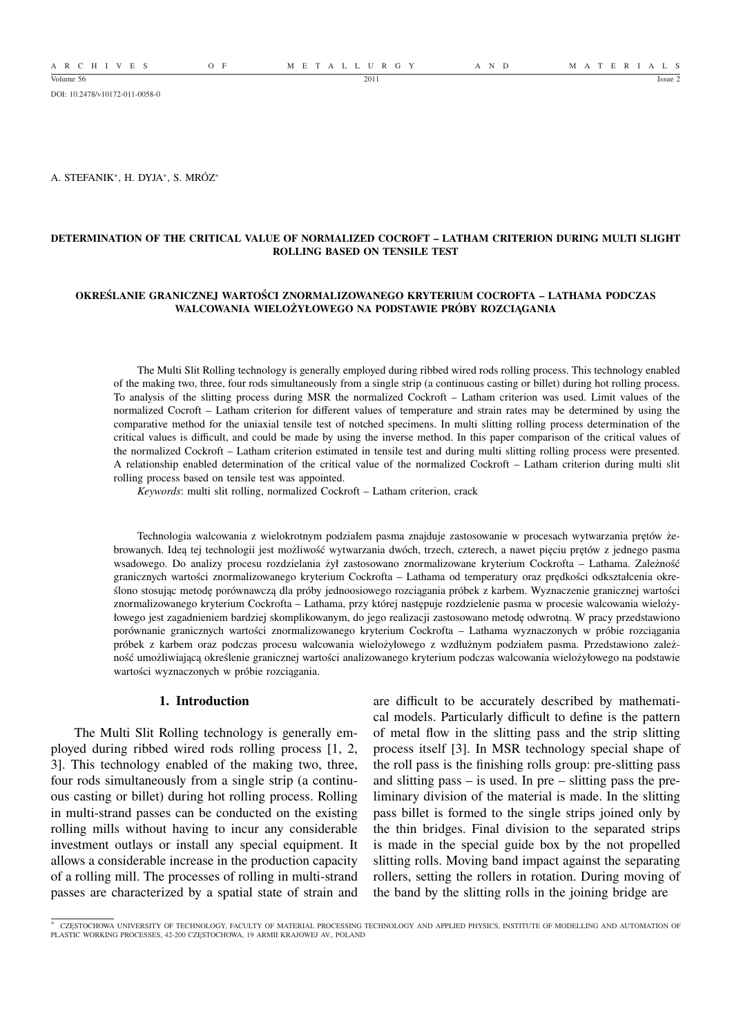DOI: 10.2478/v10172-011-0058-0

A. STEFANIK<sup>∗</sup> , H. DYJA<sup>∗</sup> , S. MRÓZ<sup>∗</sup>

### **DETERMINATION OF THE CRITICAL VALUE OF NORMALIZED COCROFT – LATHAM CRITERION DURING MULTI SLIGHT ROLLING BASED ON TENSILE TEST**

### **OKREŚLANIE GRANICZNEJ WARTOŚCI ZNORMALIZOWANEGO KRYTERIUM COCROFTA – LATHAMA PODCZAS WALCOWANIA WIELOŻYŁOWEGO NA PODSTAWIE PRÓBY ROZCIĄGANIA**

The Multi Slit Rolling technology is generally employed during ribbed wired rods rolling process. This technology enabled of the making two, three, four rods simultaneously from a single strip (a continuous casting or billet) during hot rolling process. To analysis of the slitting process during MSR the normalized Cockroft – Latham criterion was used. Limit values of the normalized Cocroft – Latham criterion for different values of temperature and strain rates may be determined by using the comparative method for the uniaxial tensile test of notched specimens. In multi slitting rolling process determination of the critical values is difficult, and could be made by using the inverse method. In this paper comparison of the critical values of the normalized Cockroft – Latham criterion estimated in tensile test and during multi slitting rolling process were presented. A relationship enabled determination of the critical value of the normalized Cockroft – Latham criterion during multi slit rolling process based on tensile test was appointed.

*Keywords*: multi slit rolling, normalized Cockroft – Latham criterion, crack

Technologia walcowania z wielokrotnym podziałem pasma znajduje zastosowanie w procesach wytwarzania prętów żebrowanych. Ideą tej technologii jest możliwość wytwarzania dwóch, trzech, czterech, a nawet pięciu prętów z jednego pasma wsadowego. Do analizy procesu rozdzielania żył zastosowano znormalizowane kryterium Cockrofta – Lathama. Zależność granicznych wartości znormalizowanego kryterium Cockrofta – Lathama od temperatury oraz prędkości odkształcenia określono stosując metodę porównawczą dla próby jednoosiowego rozciągania próbek z karbem. Wyznaczenie granicznej wartości znormalizowanego kryterium Cockrofta – Lathama, przy której następuje rozdzielenie pasma w procesie walcowania wielożyłowego jest zagadnieniem bardziej skomplikowanym, do jego realizacji zastosowano metodę odwrotną. W pracy przedstawiono porównanie granicznych wartości znormalizowanego kryterium Cockrofta – Lathama wyznaczonych w próbie rozciągania próbek z karbem oraz podczas procesu walcowania wielożyłowego z wzdłużnym podziałem pasma. Przedstawiono zależność umożliwiającą określenie granicznej wartości analizowanego kryterium podczas walcowania wielożyłowego na podstawie wartości wyznaczonych w próbie rozciągania.

### **1. Introduction**

The Multi Slit Rolling technology is generally employed during ribbed wired rods rolling process [1, 2, 3]. This technology enabled of the making two, three, four rods simultaneously from a single strip (a continuous casting or billet) during hot rolling process. Rolling in multi-strand passes can be conducted on the existing rolling mills without having to incur any considerable investment outlays or install any special equipment. It allows a considerable increase in the production capacity of a rolling mill. The processes of rolling in multi-strand passes are characterized by a spatial state of strain and

are difficult to be accurately described by mathematical models. Particularly difficult to define is the pattern of metal flow in the slitting pass and the strip slitting process itself [3]. In MSR technology special shape of the roll pass is the finishing rolls group: pre-slitting pass and slitting pass – is used. In pre – slitting pass the preliminary division of the material is made. In the slitting pass billet is formed to the single strips joined only by the thin bridges. Final division to the separated strips is made in the special guide box by the not propelled slitting rolls. Moving band impact against the separating rollers, setting the rollers in rotation. During moving of the band by the slitting rolls in the joining bridge are

<sup>∗</sup> CZĘSTOCHOWA UNIVERSITY OF TECHNOLOGY, FACULTY OF MATERIAL PROCESSING TECHNOLOGY AND APPLIED PHYSICS, INSTITUTE OF MODELLING AND AUTOMATION OF PLASTIC WORKING PROCESSES, 42-200 CZĘSTOCHOWA, 19 ARMII KRAJOWEJ AV., POLAND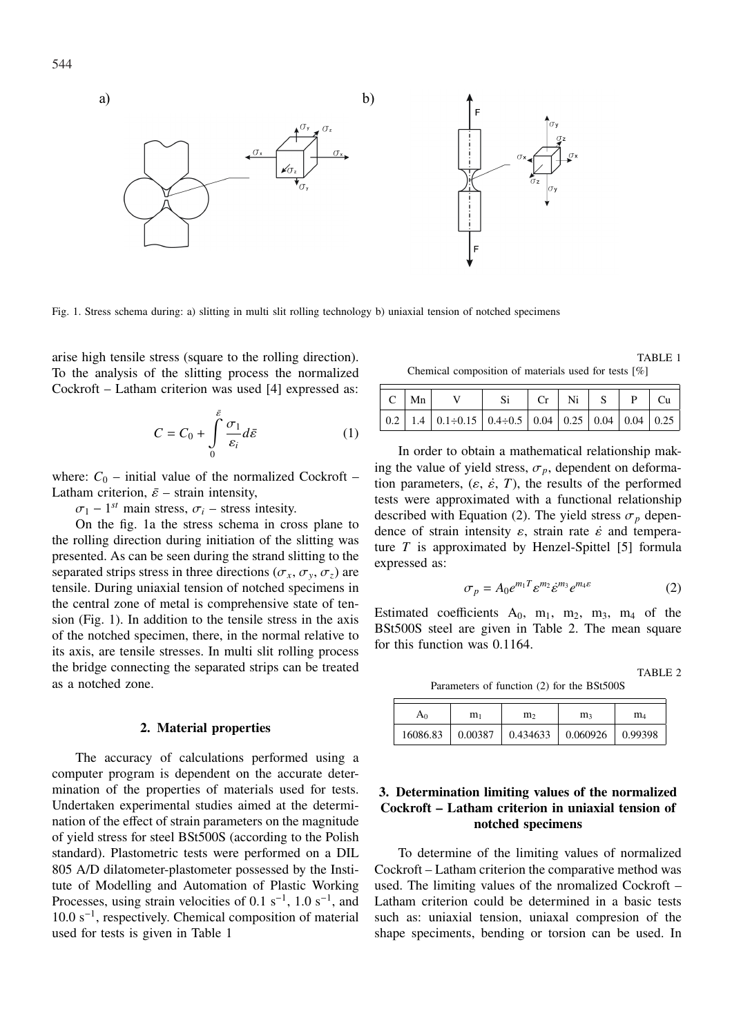

Fig. 1. Stress schema during: a) slitting in multi slit rolling technology b) uniaxial tension of notched specimens

arise high tensile stress (square to the rolling direction). To the analysis of the slitting process the normalized Cockroft – Latham criterion was used [4] expressed as:

$$
C = C_0 + \int_{0}^{\bar{\varepsilon}} \frac{\sigma_1}{\varepsilon_i} d\bar{\varepsilon}
$$
 (1)

where:  $C_0$  – initial value of the normalized Cockroft – Latham criterion,  $\bar{\varepsilon}$  – strain intensity,

 $\sigma_1$  – 1<sup>st</sup> main stress,  $\sigma_i$  – stress intesity.

On the fig. 1a the stress schema in cross plane to the rolling direction during initiation of the slitting was presented. As can be seen during the strand slitting to the separated strips stress in three directions ( $\sigma_x$ ,  $\sigma_y$ ,  $\sigma_z$ ) are tensile. During uniaxial tension of notched specimens in the central zone of metal is comprehensive state of tension (Fig. 1). In addition to the tensile stress in the axis of the notched specimen, there, in the normal relative to its axis, are tensile stresses. In multi slit rolling process the bridge connecting the separated strips can be treated as a notched zone.

#### **2. Material properties**

The accuracy of calculations performed using a computer program is dependent on the accurate determination of the properties of materials used for tests. Undertaken experimental studies aimed at the determination of the effect of strain parameters on the magnitude of yield stress for steel BSt500S (according to the Polish standard). Plastometric tests were performed on a DIL 805 A/D dilatometer-plastometer possessed by the Institute of Modelling and Automation of Plastic Working Processes, using strain velocities of 0.1 s<sup>-1</sup>, 1.0 s<sup>-1</sup>, and 10.0 s<sup>−</sup><sup>1</sup> , respectively. Chemical composition of material used for tests is given in Table 1

TABLE 1 Chemical composition of materials used for tests [%]

| $C \mid Mn \mid$ |                                                   | $Si$ $Cr$ $Ni$ $S$ $P$ $Cu$ |  |  |  |
|------------------|---------------------------------------------------|-----------------------------|--|--|--|
|                  | 0.2 1.4 0.1÷0.15 0.4÷0.5 0.04 0.25 0.04 0.04 0.25 |                             |  |  |  |

In order to obtain a mathematical relationship making the value of yield stress,  $\sigma_p$ , dependent on deformation parameters,  $(\varepsilon, \dot{\varepsilon}, T)$ , the results of the performed tests were approximated with a functional relationship described with Equation (2). The yield stress  $\sigma_p$  dependence of strain intensity  $\varepsilon$ , strain rate  $\dot{\varepsilon}$  and temperature *T* is approximated by Henzel-Spittel [5] formula expressed as:

$$
\sigma_p = A_0 e^{m_1 T} \varepsilon^{m_2} \dot{\varepsilon}^{m_3} e^{m_4 \varepsilon} \tag{2}
$$

Estimated coefficients  $A_0$ ,  $m_1$ ,  $m_2$ ,  $m_3$ ,  $m_4$  of the BSt500S steel are given in Table 2. The mean square for this function was 0.1164.

TABLE 2

Parameters of function (2) for the BSt500S

| $A_0$    | m <sub>1</sub> | m›       | m <sub>3</sub>                       | $\rm m_4$ |  |
|----------|----------------|----------|--------------------------------------|-----------|--|
| 16086.83 | 0.00387        | 0.434633 | $\vert 0.060926 \vert 0.99398 \vert$ |           |  |

## **3. Determination limiting values of the normalized Cockroft – Latham criterion in uniaxial tension of notched specimens**

To determine of the limiting values of normalized Cockroft – Latham criterion the comparative method was used. The limiting values of the nromalized Cockroft – Latham criterion could be determined in a basic tests such as: uniaxial tension, uniaxal compresion of the shape speciments, bending or torsion can be used. In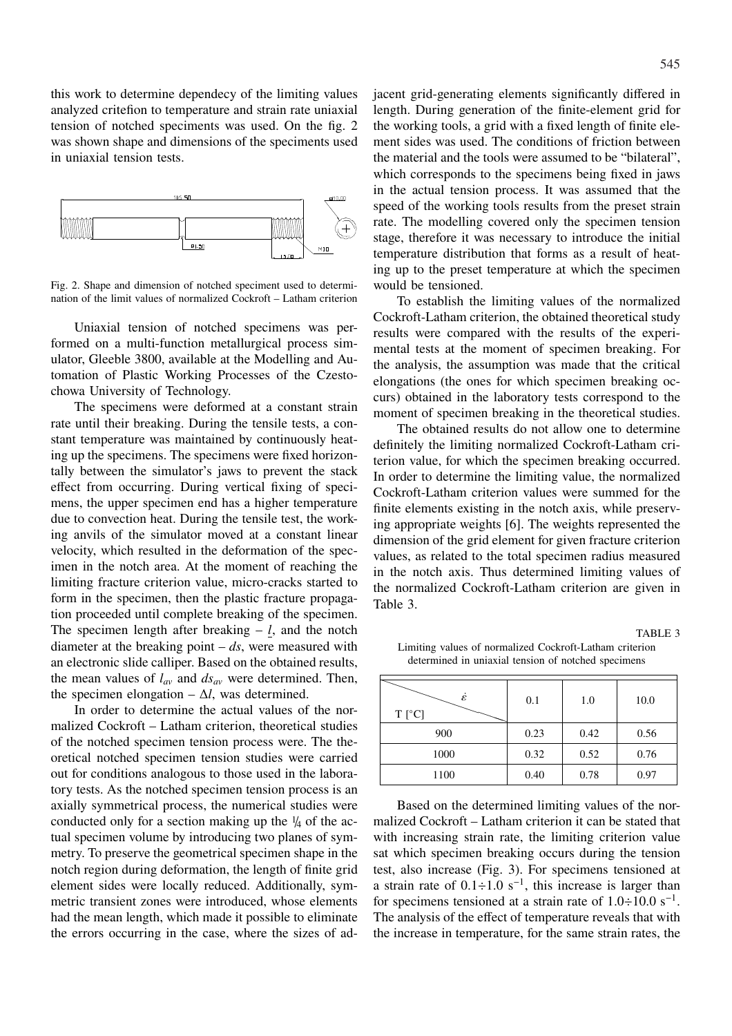this work to determine dependecy of the limiting values analyzed critefion to temperature and strain rate uniaxial tension of notched speciments was used. On the fig. 2 was shown shape and dimensions of the speciments used in uniaxial tension tests.



Fig. 2. Shape and dimension of notched speciment used to determination of the limit values of normalized Cockroft – Latham criterion

Uniaxial tension of notched specimens was performed on a multi-function metallurgical process simulator, Gleeble 3800, available at the Modelling and Automation of Plastic Working Processes of the Czestochowa University of Technology.

The specimens were deformed at a constant strain rate until their breaking. During the tensile tests, a constant temperature was maintained by continuously heating up the specimens. The specimens were fixed horizontally between the simulator's jaws to prevent the stack effect from occurring. During vertical fixing of specimens, the upper specimen end has a higher temperature due to convection heat. During the tensile test, the working anvils of the simulator moved at a constant linear velocity, which resulted in the deformation of the specimen in the notch area. At the moment of reaching the limiting fracture criterion value, micro-cracks started to form in the specimen, then the plastic fracture propagation proceeded until complete breaking of the specimen. The specimen length after breaking  $- l$ , and the notch diameter at the breaking point  $- ds$ , were measured with an electronic slide calliper. Based on the obtained results, the mean values of  $l_{av}$  and  $ds_{av}$  were determined. Then, the specimen elongation –  $\Delta l$ , was determined.

In order to determine the actual values of the normalized Cockroft – Latham criterion, theoretical studies of the notched specimen tension process were. The theoretical notched specimen tension studies were carried out for conditions analogous to those used in the laboratory tests. As the notched specimen tension process is an axially symmetrical process, the numerical studies were conducted only for a section making up the  $\frac{1}{4}$  of the actual specimen volume by introducing two planes of symmetry. To preserve the geometrical specimen shape in the notch region during deformation, the length of finite grid element sides were locally reduced. Additionally, symmetric transient zones were introduced, whose elements had the mean length, which made it possible to eliminate the errors occurring in the case, where the sizes of adjacent grid-generating elements significantly differed in length. During generation of the finite-element grid for the working tools, a grid with a fixed length of finite element sides was used. The conditions of friction between the material and the tools were assumed to be "bilateral", which corresponds to the specimens being fixed in jaws in the actual tension process. It was assumed that the speed of the working tools results from the preset strain rate. The modelling covered only the specimen tension stage, therefore it was necessary to introduce the initial temperature distribution that forms as a result of heating up to the preset temperature at which the specimen would be tensioned.

To establish the limiting values of the normalized Cockroft-Latham criterion, the obtained theoretical study results were compared with the results of the experimental tests at the moment of specimen breaking. For the analysis, the assumption was made that the critical elongations (the ones for which specimen breaking occurs) obtained in the laboratory tests correspond to the moment of specimen breaking in the theoretical studies.

The obtained results do not allow one to determine definitely the limiting normalized Cockroft-Latham criterion value, for which the specimen breaking occurred. In order to determine the limiting value, the normalized Cockroft-Latham criterion values were summed for the finite elements existing in the notch axis, while preserving appropriate weights [6]. The weights represented the dimension of the grid element for given fracture criterion values, as related to the total specimen radius measured in the notch axis. Thus determined limiting values of the normalized Cockroft-Latham criterion are given in Table 3.

TABLE 3

Limiting values of normalized Cockroft-Latham criterion determined in uniaxial tension of notched specimens

| έ<br>$T [^{\circ}C]$ | 0.1  | 1.0  | 10.0 |
|----------------------|------|------|------|
| 900                  | 0.23 | 0.42 | 0.56 |
| 1000                 | 0.32 | 0.52 | 0.76 |
| 1100                 | 0.40 | 0.78 | 0.97 |

Based on the determined limiting values of the normalized Cockroft – Latham criterion it can be stated that with increasing strain rate, the limiting criterion value sat which specimen breaking occurs during the tension test, also increase (Fig. 3). For specimens tensioned at a strain rate of  $0.1 \div 1.0$  s<sup>-1</sup>, this increase is larger than for specimens tensioned at a strain rate of  $1.0 \div 10.0 \text{ s}^{-1}$ . The analysis of the effect of temperature reveals that with the increase in temperature, for the same strain rates, the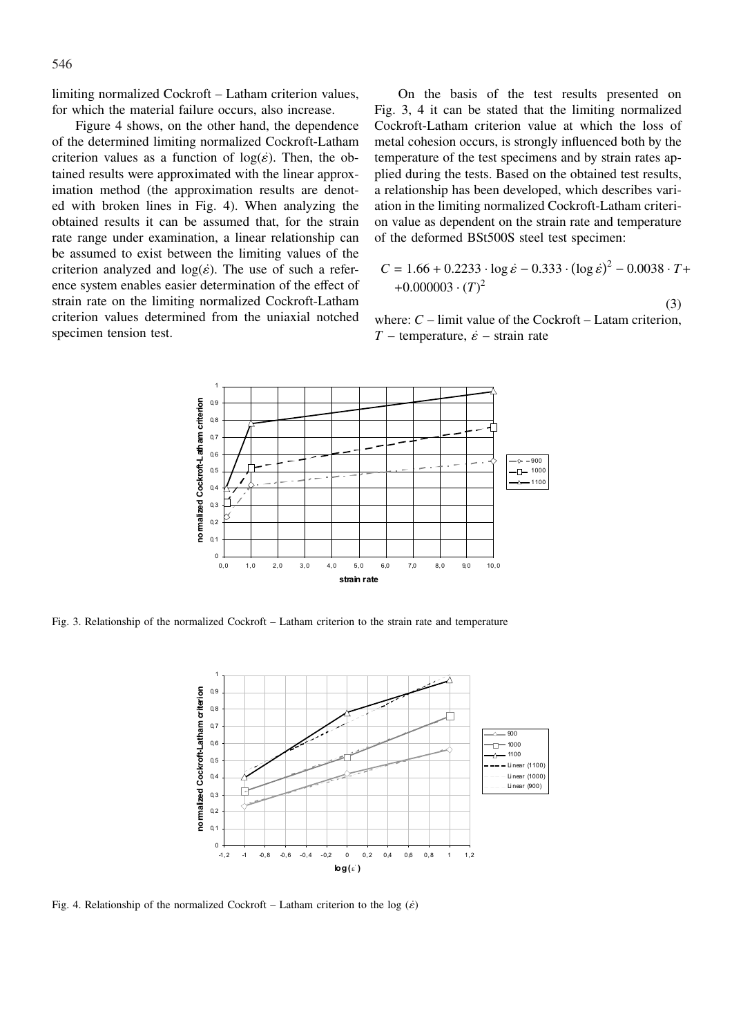limiting normalized Cockroft – Latham criterion values, for which the material failure occurs, also increase.

Figure 4 shows, on the other hand, the dependence of the determined limiting normalized Cockroft-Latham criterion values as a function of  $log(\varepsilon)$ . Then, the obtained results were approximated with the linear approximation method (the approximation results are denoted with broken lines in Fig. 4). When analyzing the obtained results it can be assumed that, for the strain rate range under examination, a linear relationship can be assumed to exist between the limiting values of the criterion analyzed and  $log(\varepsilon)$ . The use of such a reference system enables easier determination of the effect of strain rate on the limiting normalized Cockroft-Latham criterion values determined from the uniaxial notched specimen tension test.

On the basis of the test results presented on Fig. 3, 4 it can be stated that the limiting normalized Cockroft-Latham criterion value at which the loss of metal cohesion occurs, is strongly influenced both by the temperature of the test specimens and by strain rates applied during the tests. Based on the obtained test results, a relationship has been developed, which describes variation in the limiting normalized Cockroft-Latham criterion value as dependent on the strain rate and temperature of the deformed BSt500S steel test specimen:

$$
C = 1.66 + 0.2233 \cdot \log \dot{\varepsilon} - 0.333 \cdot (\log \dot{\varepsilon})^2 - 0.0038 \cdot T + 0.000003 \cdot (T)^2
$$

(3)

where:  $C$  – limit value of the Cockroft – Latam criterion, *T* – temperature,  $\dot{\varepsilon}$  – strain rate



Fig. 3. Relationship of the normalized Cockroft – Latham criterion to the strain rate and temperature



Fig. 4. Relationship of the normalized Cockroft – Latham criterion to the log  $(\dot{\varepsilon})$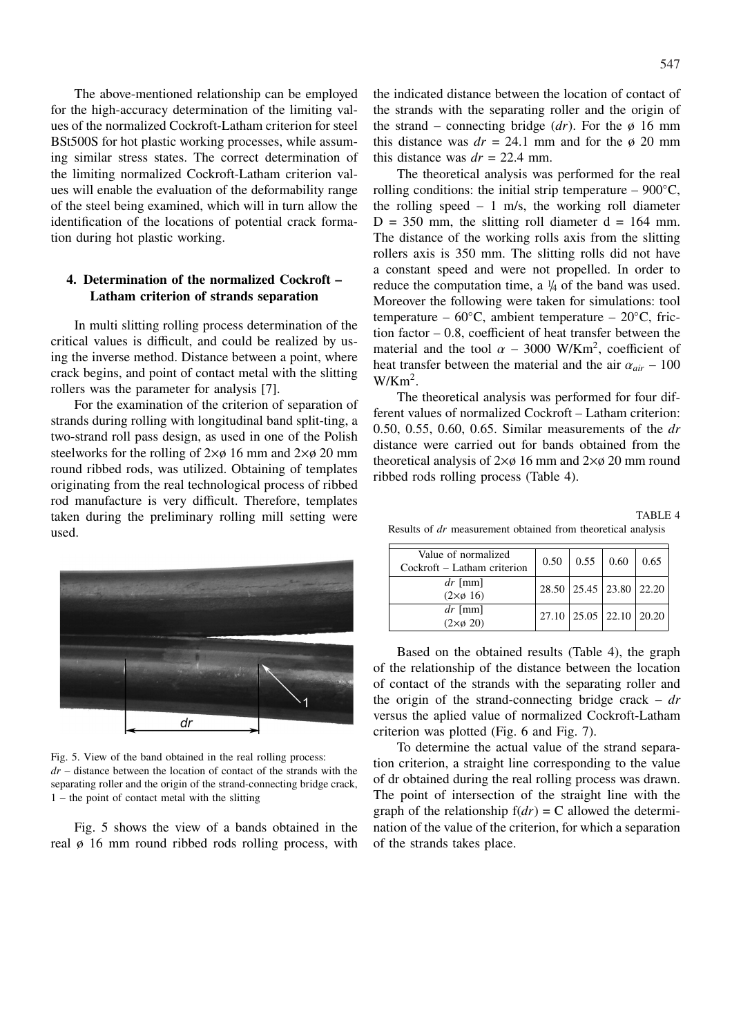547

The above-mentioned relationship can be employed for the high-accuracy determination of the limiting values of the normalized Cockroft-Latham criterion for steel BSt500S for hot plastic working processes, while assuming similar stress states. The correct determination of the limiting normalized Cockroft-Latham criterion values will enable the evaluation of the deformability range of the steel being examined, which will in turn allow the identification of the locations of potential crack formation during hot plastic working.

# **4. Determination of the normalized Cockroft – Latham criterion of strands separation**

In multi slitting rolling process determination of the critical values is difficult, and could be realized by using the inverse method. Distance between a point, where crack begins, and point of contact metal with the slitting rollers was the parameter for analysis [7].

For the examination of the criterion of separation of strands during rolling with longitudinal band split-ting, a two-strand roll pass design, as used in one of the Polish steelworks for the rolling of  $2\times\varnothing$  16 mm and  $2\times\varnothing$  20 mm round ribbed rods, was utilized. Obtaining of templates originating from the real technological process of ribbed rod manufacture is very difficult. Therefore, templates taken during the preliminary rolling mill setting were used.



Fig. 5. View of the band obtained in the real rolling process: *dr* – distance between the location of contact of the strands with the separating roller and the origin of the strand-connecting bridge crack, 1 – the point of contact metal with the slitting

Fig. 5 shows the view of a bands obtained in the real ø 16 mm round ribbed rods rolling process, with the indicated distance between the location of contact of the strands with the separating roller and the origin of the strand – connecting bridge  $(dr)$ . For the  $\phi$  16 mm this distance was  $dr = 24.1$  mm and for the  $\phi$  20 mm this distance was  $dr = 22.4$  mm.

The theoretical analysis was performed for the real rolling conditions: the initial strip temperature –  $900^{\circ}$ C, the rolling speed  $-1$  m/s, the working roll diameter  $D = 350$  mm, the slitting roll diameter  $d = 164$  mm. The distance of the working rolls axis from the slitting rollers axis is 350 mm. The slitting rolls did not have a constant speed and were not propelled. In order to reduce the computation time, a  $\frac{1}{4}$  of the band was used. Moreover the following were taken for simulations: tool temperature – 60 $°C$ , ambient temperature – 20 $°C$ , friction factor – 0.8, coefficient of heat transfer between the material and the tool  $\alpha$  – 3000 W/Km<sup>2</sup>, coefficient of heat transfer between the material and the air  $\alpha_{air}$  – 100  $W/Km^2$ .

The theoretical analysis was performed for four different values of normalized Cockroft – Latham criterion: 0.50, 0.55, 0.60, 0.65. Similar measurements of the *dr* distance were carried out for bands obtained from the theoretical analysis of  $2\times\phi$  16 mm and  $2\times\phi$  20 mm round ribbed rods rolling process (Table 4).

TABLE 4 Results of *dr* measurement obtained from theoretical analysis

| Value of normalized<br>Cockroft - Latham criterion | 0.50 |                         | $0.55 \,   \, 0.60$ | 0.65 |
|----------------------------------------------------|------|-------------------------|---------------------|------|
|                                                    |      |                         |                     |      |
| $dr$ [mm]                                          |      | 28.50 25.45 23.80 22.20 |                     |      |
| $(2\times\emptyset 16)$                            |      |                         |                     |      |
| $dr$ [mm]                                          |      |                         |                     |      |
| $(2\times\emptyset 20)$                            |      | 27.10 25.05 22.10 20.20 |                     |      |

Based on the obtained results (Table 4), the graph of the relationship of the distance between the location of contact of the strands with the separating roller and the origin of the strand-connecting bridge crack – *dr* versus the aplied value of normalized Cockroft-Latham criterion was plotted (Fig. 6 and Fig. 7).

To determine the actual value of the strand separation criterion, a straight line corresponding to the value of dr obtained during the real rolling process was drawn. The point of intersection of the straight line with the graph of the relationship  $f(dr) = C$  allowed the determination of the value of the criterion, for which a separation of the strands takes place.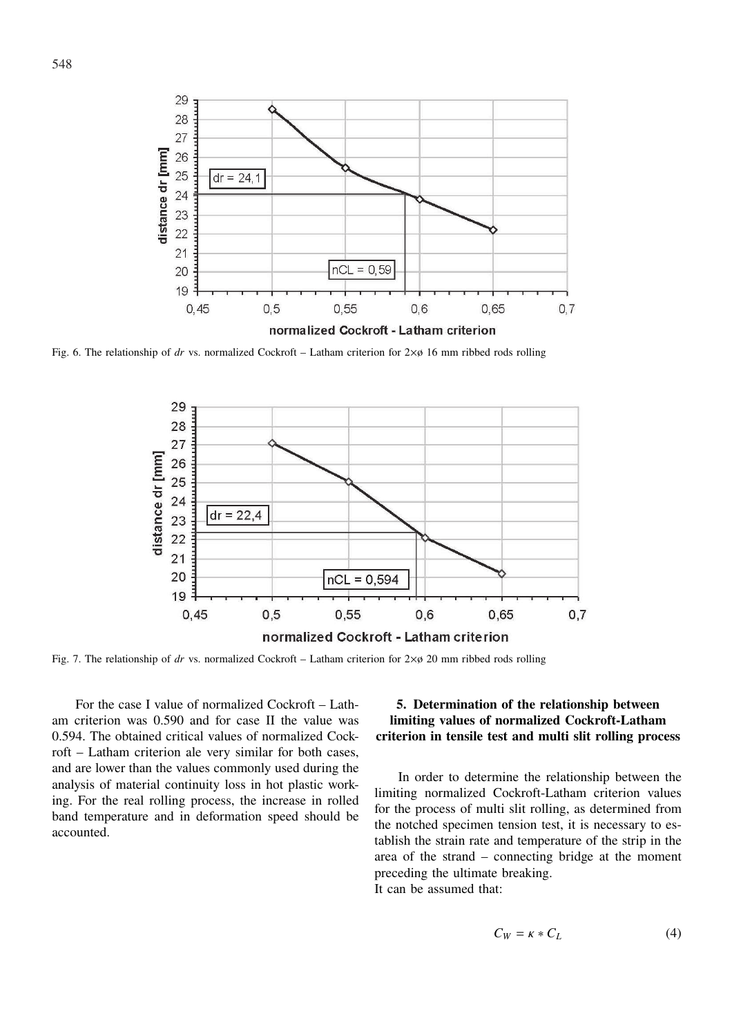

Fig. 6. The relationship of *dr* vs. normalized Cockroft – Latham criterion for 2×ø 16 mm ribbed rods rolling



Fig. 7. The relationship of *dr* vs. normalized Cockroft – Latham criterion for  $2 \times \emptyset$  20 mm ribbed rods rolling

For the case I value of normalized Cockroft – Latham criterion was 0.590 and for case II the value was 0.594. The obtained critical values of normalized Cockroft – Latham criterion ale very similar for both cases, and are lower than the values commonly used during the analysis of material continuity loss in hot plastic working. For the real rolling process, the increase in rolled band temperature and in deformation speed should be accounted.

## **5. Determination of the relationship between limiting values of normalized Cockroft-Latham criterion in tensile test and multi slit rolling process**

In order to determine the relationship between the limiting normalized Cockroft-Latham criterion values for the process of multi slit rolling, as determined from the notched specimen tension test, it is necessary to establish the strain rate and temperature of the strip in the area of the strand – connecting bridge at the moment preceding the ultimate breaking.

It can be assumed that:

$$
C_W = \kappa \ast C_L \tag{4}
$$